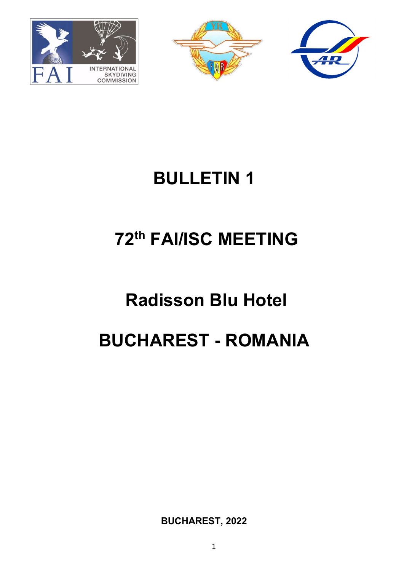



# BULLETIN 1

# 72th FAI/ISC MEETING

# Radisson Blu Hotel BUCHAREST - ROMANIA

BUCHAREST, 2022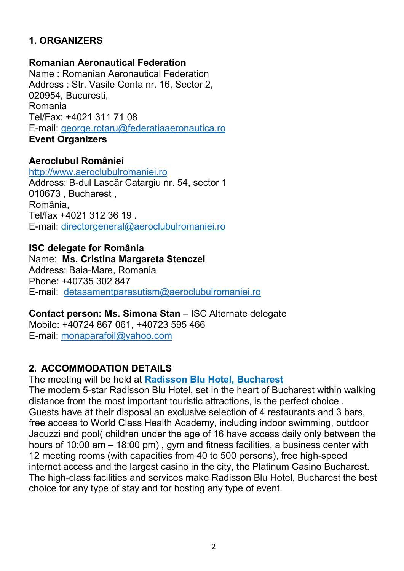# 1. ORGANIZERS

#### Romanian Aeronautical Federation

Name : Romanian Aeronautical Federation Address : Str. Vasile Conta nr. 16, Sector 2, 020954, Bucuresti, Romania Tel/Fax: +4021 311 71 08 E-mail: george.rotaru@federatiaaeronautica.ro Event Organizers

#### Aeroclubul României

http://www.aeroclubulromaniei.ro Address: B-dul Lascăr Catargiu nr. 54, sector 1 010673 , Bucharest , România, Tel/fax +4021 312 36 19 . E-mail: directorgeneral@aeroclubulromaniei.ro

#### ISC delegate for România

Name: Ms. Cristina Margareta Stenczel Address: Baia-Mare, Romania Phone: +40735 302 847 E-mail: detasamentparasutism@aeroclubulromaniei.ro

#### Contact person: Ms. Simona Stan – ISC Alternate delegate Mobile: +40724 867 061, +40723 595 466 E-mail: monaparafoil@yahoo.com

#### 2. ACCOMMODATION DETAILS

The meeting will be held at Radisson Blu Hotel, Bucharest

The modern 5-star Radisson Blu Hotel, set in the heart of Bucharest within walking distance from the most important touristic attractions, is the perfect choice . Guests have at their disposal an exclusive selection of 4 restaurants and 3 bars, free access to World Class Health Academy, including indoor swimming, outdoor Jacuzzi and pool( children under the age of 16 have access daily only between the hours of 10:00 am – 18:00 pm) , gym and fitness facilities, a business center with 12 meeting rooms (with capacities from 40 to 500 persons), free high-speed internet access and the largest casino in the city, the Platinum Casino Bucharest. The high-class facilities and services make Radisson Blu Hotel, Bucharest the best choice for any type of stay and for hosting any type of event.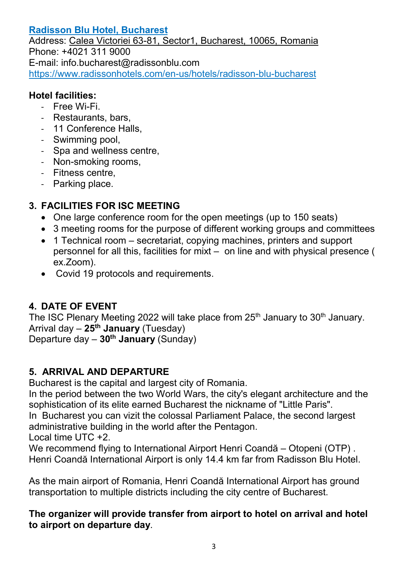# Radisson Blu Hotel, Bucharest

Address: Calea Victoriei 63-81, Sector1, Bucharest, 10065, Romania Phone: +4021 311 9000 E-mail: info.bucharest@radissonblu.com https://www.radissonhotels.com/en-us/hotels/radisson-blu-bucharest

# Hotel facilities:

- Free Wi-Fi.
- Restaurants, bars,
- 11 Conference Halls,
- Swimming pool,
- Spa and wellness centre,
- Non-smoking rooms,
- Fitness centre,
- Parking place.

# 3. FACILITIES FOR ISC MEETING

- One large conference room for the open meetings (up to 150 seats)
- 3 meeting rooms for the purpose of different working groups and committees
- 1 Technical room secretariat, copying machines, printers and support personnel for all this, facilities for mixt – on line and with physical presence ( ex.Zoom).
- Covid 19 protocols and requirements.

# 4. DATE OF EVENT

The ISC Plenary Meeting 2022 will take place from  $25<sup>th</sup>$  January to  $30<sup>th</sup>$  January. Arrival day  $-25$ <sup>th</sup> January (Tuesday)

Departure day  $-30^{th}$  January (Sunday)

# 5. ARRIVAL AND DEPARTURE

Bucharest is the capital and largest city of Romania.

In the period between the two World Wars, the city's elegant architecture and the sophistication of its elite earned Bucharest the nickname of "Little Paris".

In Bucharest you can vizit the colossal Parliament Palace, the second largest administrative building in the world after the Pentagon.

Local time UTC +2.

We recommend flying to International Airport Henri Coandă – Otopeni (OTP) . Henri Coandă International Airport is only 14.4 km far from Radisson Blu Hotel.

As the main airport of Romania, Henri Coandă International Airport has ground transportation to multiple districts including the city centre of Bucharest.

The organizer will provide transfer from airport to hotel on arrival and hotel to airport on departure day.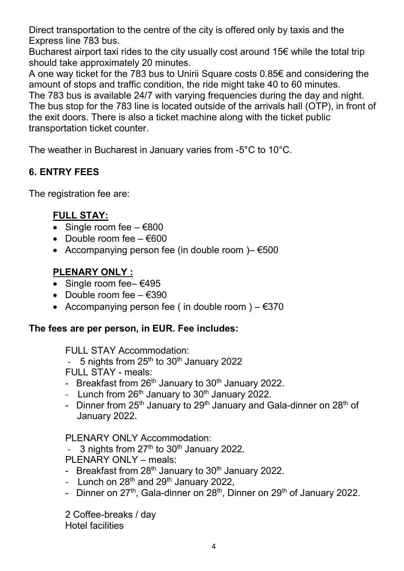Direct transportation to the centre of the city is offered only by taxis and the Express line 783 bus.

Bucharest airport taxi rides to the city usually cost around 15€ while the total trip should take approximately 20 minutes.

A one way ticket for the 783 bus to Unirii Square costs 0.85€ and considering the amount of stops and traffic condition, the ride might take 40 to 60 minutes. The 783 bus is available 24/7 with varying frequencies during the day and night. The bus stop for the 783 line is located outside of the arrivals hall (OTP), in front of the exit doors. There is also a ticket machine along with the ticket public transportation ticket counter.

The weather in Bucharest in January varies from -5°C to 10°C.

# 6. ENTRY FEES

The registration fee are:

# FULL STAY:

- Single room fee  $€800$
- Double room fee  $-$  €600
- Accompanying person fee (in double room ) $-$  €500

# PLENARY ONLY :

- Single room fee–  $€495$
- Double room fee  $-$  €390
- Accompanying person fee ( in double room )  $-$  €370

# The fees are per person, in EUR. Fee includes:

#### FULL STAY Accommodation:

- 5 nights from  $25<sup>th</sup>$  to  $30<sup>th</sup>$  January 2022
- FULL STAY meals:
- Breakfast from  $26<sup>th</sup>$  January to  $30<sup>th</sup>$  January 2022.
- Lunch from  $26<sup>th</sup>$  January to  $30<sup>th</sup>$  January 2022.
- Dinner from  $25<sup>th</sup>$  January to  $29<sup>th</sup>$  January and Gala-dinner on  $28<sup>th</sup>$  of January 2022.

# PLENARY ONLY Accommodation:

- 3 nights from  $27<sup>th</sup>$  to  $30<sup>th</sup>$  January 2022.
- PLENARY ONLY meals:
- Breakfast from  $28<sup>th</sup>$  January to  $30<sup>th</sup>$  January 2022.
- Lunch on  $28<sup>th</sup>$  and  $29<sup>th</sup>$  January 2022,
- Dinner on  $27<sup>th</sup>$ , Gala-dinner on  $28<sup>th</sup>$ , Dinner on  $29<sup>th</sup>$  of January 2022.

2 Coffee-breaks / day Hotel facilities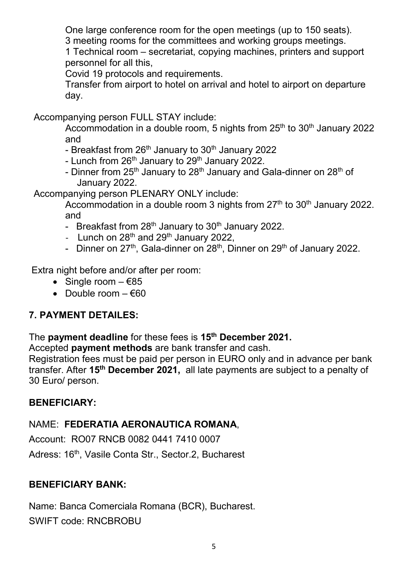One large conference room for the open meetings (up to 150 seats).

3 meeting rooms for the committees and working groups meetings.

1 Technical room – secretariat, copying machines, printers and support personnel for all this,

Covid 19 protocols and requirements.

Transfer from airport to hotel on arrival and hotel to airport on departure day.

Accompanying person FULL STAY include:

Accommodation in a double room, 5 nights from  $25<sup>th</sup>$  to  $30<sup>th</sup>$  January 2022 and

- Breakfast from 26<sup>th</sup> January to 30<sup>th</sup> January 2022

- Lunch from  $26<sup>th</sup>$  January to  $29<sup>th</sup>$  January 2022.
- Dinner from 25<sup>th</sup> January to 28<sup>th</sup> January and Gala-dinner on 28<sup>th</sup> of January 2022.

Accompanying person PLENARY ONLY include:

Accommodation in a double room 3 nights from  $27<sup>th</sup>$  to  $30<sup>th</sup>$  January 2022. and

- Breakfast from  $28<sup>th</sup>$  January to  $30<sup>th</sup>$  January 2022.
- Lunch on  $28<sup>th</sup>$  and  $29<sup>th</sup>$  January 2022.
- Dinner on  $27<sup>th</sup>$ , Gala-dinner on  $28<sup>th</sup>$ , Dinner on  $29<sup>th</sup>$  of January 2022.

Extra night before and/or after per room:

- Single room  $-685$
- $\bullet$  Double room  $\epsilon$ 60

# 7. PAYMENT DETAILES:

#### The payment deadline for these fees is 15<sup>th</sup> December 2021.

Accepted payment methods are bank transfer and cash.

Registration fees must be paid per person in EURO only and in advance per bank transfer. After 15th December 2021, all late payments are subject to a penalty of 30 Euro/ person.

#### BENEFICIARY:

# NAME: FEDERATIA AERONAUTICA ROMANA,

Account: RO07 RNCB 0082 0441 7410 0007

Adress: 16<sup>th</sup>, Vasile Conta Str., Sector.2, Bucharest

# BENEFICIARY BANK:

Name: Banca Comerciala Romana (BCR), Bucharest. SWIFT code: RNCBROBU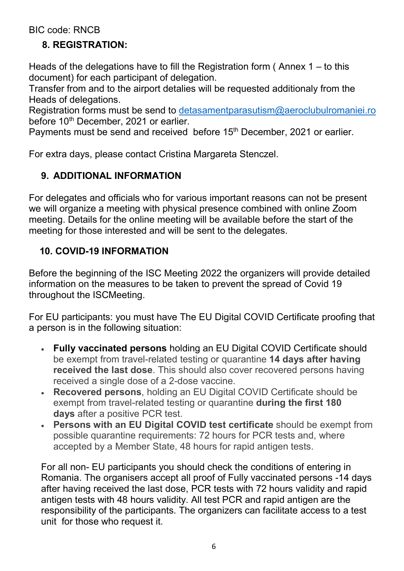BIC code: RNCB

# 8. REGISTRATION:

Heads of the delegations have to fill the Registration form (Annex  $1 -$  to this document) for each participant of delegation.

Transfer from and to the airport detalies will be requested additionaly from the Heads of delegations.

Registration forms must be send to detasamentparasutism@aeroclubulromaniei.ro before 10<sup>th</sup> December, 2021 or earlier.

Payments must be send and received before 15<sup>th</sup> December, 2021 or earlier.

For extra days, please contact Cristina Margareta Stenczel.

# 9. ADDITIONAL INFORMATION

For delegates and officials who for various important reasons can not be present we will organize a meeting with physical presence combined with online Zoom meeting. Details for the online meeting will be available before the start of the meeting for those interested and will be sent to the delegates.

# 10. COVID-19 INFORMATION

Before the beginning of the ISC Meeting 2022 the organizers will provide detailed information on the measures to be taken to prevent the spread of Covid 19 throughout the ISCMeeting.

For EU participants: you must have The EU Digital COVID Certificate proofing that a person is in the following situation:

- Fully vaccinated persons holding an EU Digital COVID Certificate should be exempt from travel-related testing or quarantine 14 days after having received the last dose. This should also cover recovered persons having received a single dose of a 2-dose vaccine.
- Recovered persons, holding an EU Digital COVID Certificate should be exempt from travel-related testing or quarantine during the first 180 days after a positive PCR test.
- Persons with an EU Digital COVID test certificate should be exempt from possible quarantine requirements: 72 hours for PCR tests and, where accepted by a Member State, 48 hours for rapid antigen tests.

For all non- EU participants you should check the conditions of entering in Romania. The organisers accept all proof of Fully vaccinated persons -14 days after having received the last dose, PCR tests with 72 hours validity and rapid antigen tests with 48 hours validity. All test PCR and rapid antigen are the responsibility of the participants. The organizers can facilitate access to a test unit for those who request it.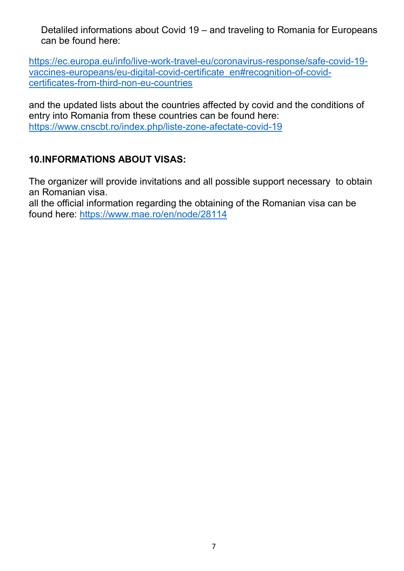Detaliled informations about Covid 19 – and traveling to Romania for Europeans can be found here:

https://ec.europa.eu/info/live-work-travel-eu/coronavirus-response/safe-covid-19 vaccines-europeans/eu-digital-covid-certificate\_en#recognition-of-covidcertificates-from-third-non-eu-countries

and the updated lists about the countries affected by covid and the conditions of entry into Romania from these countries can be found here: https://www.cnscbt.ro/index.php/liste-zone-afectate-covid-19

# 10.INFORMATIONS ABOUT VISAS:

The organizer will provide invitations and all possible support necessary to obtain an Romanian visa.

all the official information regarding the obtaining of the Romanian visa can be found here: https://www.mae.ro/en/node/28114